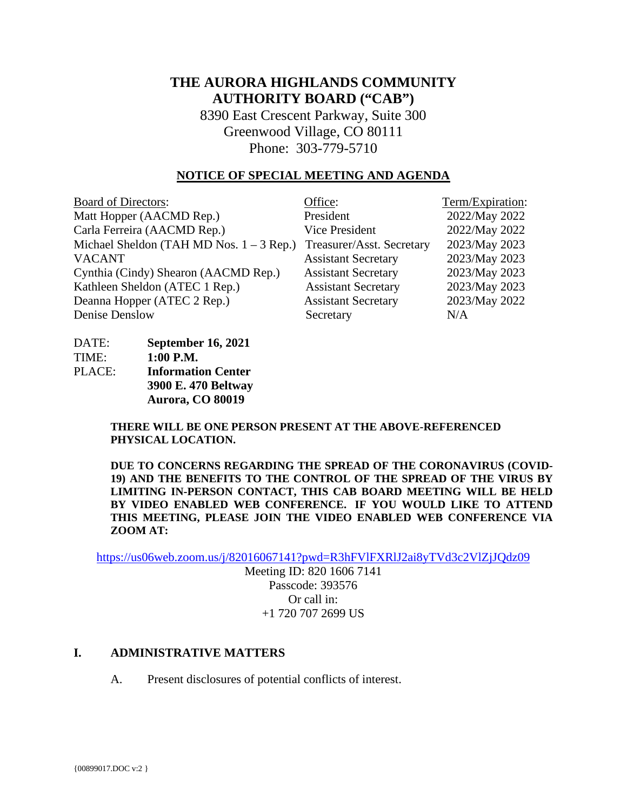# **THE AURORA HIGHLANDS COMMUNITY AUTHORITY BOARD ("CAB")**

8390 East Crescent Parkway, Suite 300 Greenwood Village, CO 80111 Phone: 303-779-5710

#### **NOTICE OF SPECIAL MEETING AND AGENDA**

| <b>Board of Directors:</b>                 | Office:                    | Term/Expiration: |
|--------------------------------------------|----------------------------|------------------|
| Matt Hopper (AACMD Rep.)                   | President                  | 2022/May 2022    |
| Carla Ferreira (AACMD Rep.)                | <b>Vice President</b>      | 2022/May 2022    |
| Michael Sheldon (TAH MD Nos. $1 - 3$ Rep.) | Treasurer/Asst. Secretary  | 2023/May 2023    |
| <b>VACANT</b>                              | <b>Assistant Secretary</b> | 2023/May 2023    |
| Cynthia (Cindy) Shearon (AACMD Rep.)       | <b>Assistant Secretary</b> | 2023/May 2023    |
| Kathleen Sheldon (ATEC 1 Rep.)             | <b>Assistant Secretary</b> | 2023/May 2023    |
| Deanna Hopper (ATEC 2 Rep.)                | <b>Assistant Secretary</b> | 2023/May 2022    |
| Denise Denslow                             | Secretary                  | N/A              |

DATE: **September 16, 2021** TIME: **1:00 P.M.** PLACE: **Information Center 3900 E. 470 Beltway Aurora, CO 80019** 

> **THERE WILL BE ONE PERSON PRESENT AT THE ABOVE-REFERENCED PHYSICAL LOCATION.**

**DUE TO CONCERNS REGARDING THE SPREAD OF THE CORONAVIRUS (COVID-19) AND THE BENEFITS TO THE CONTROL OF THE SPREAD OF THE VIRUS BY LIMITING IN-PERSON CONTACT, THIS CAB BOARD MEETING WILL BE HELD BY VIDEO ENABLED WEB CONFERENCE. IF YOU WOULD LIKE TO ATTEND THIS MEETING, PLEASE JOIN THE VIDEO ENABLED WEB CONFERENCE VIA ZOOM AT:**

<https://us06web.zoom.us/j/82016067141?pwd=R3hFVlFXRlJ2ai8yTVd3c2VlZjJQdz09>

Meeting ID: 820 1606 7141 Passcode: 393576 Or call in: +1 720 707 2699 US

#### **I. ADMINISTRATIVE MATTERS**

A. Present disclosures of potential conflicts of interest.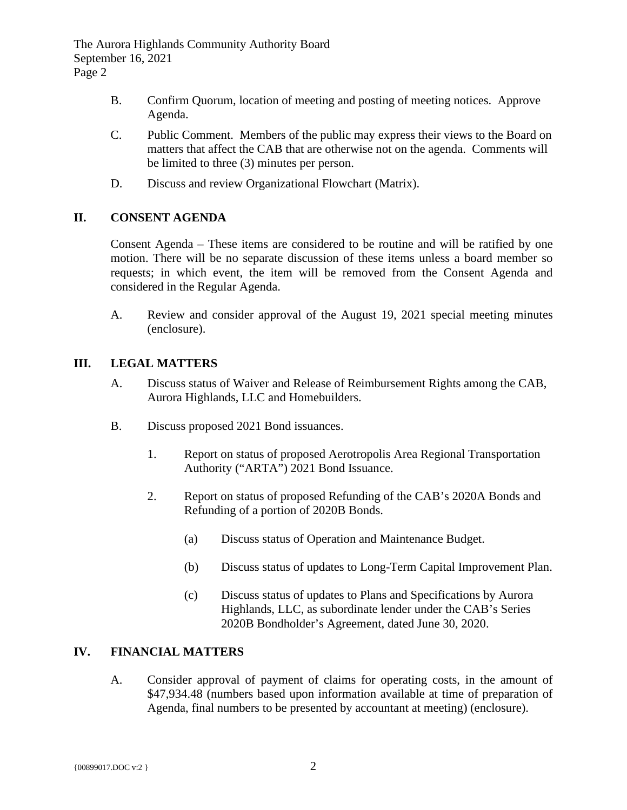The Aurora Highlands Community Authority Board September 16, 2021 Page 2

- B. Confirm Quorum, location of meeting and posting of meeting notices. Approve Agenda.
- C. Public Comment. Members of the public may express their views to the Board on matters that affect the CAB that are otherwise not on the agenda. Comments will be limited to three (3) minutes per person.
- D. Discuss and review Organizational Flowchart (Matrix).

# **II. CONSENT AGENDA**

Consent Agenda – These items are considered to be routine and will be ratified by one motion. There will be no separate discussion of these items unless a board member so requests; in which event, the item will be removed from the Consent Agenda and considered in the Regular Agenda.

A. Review and consider approval of the August 19, 2021 special meeting minutes (enclosure).

## **III. LEGAL MATTERS**

- A. Discuss status of Waiver and Release of Reimbursement Rights among the CAB, Aurora Highlands, LLC and Homebuilders.
- B. Discuss proposed 2021 Bond issuances.
	- 1. Report on status of proposed Aerotropolis Area Regional Transportation Authority ("ARTA") 2021 Bond Issuance.
	- 2. Report on status of proposed Refunding of the CAB's 2020A Bonds and Refunding of a portion of 2020B Bonds.
		- (a) Discuss status of Operation and Maintenance Budget.
		- (b) Discuss status of updates to Long-Term Capital Improvement Plan.
		- (c) Discuss status of updates to Plans and Specifications by Aurora Highlands, LLC, as subordinate lender under the CAB's Series 2020B Bondholder's Agreement, dated June 30, 2020.

### **IV. FINANCIAL MATTERS**

A. Consider approval of payment of claims for operating costs, in the amount of \$47,934.48 (numbers based upon information available at time of preparation of Agenda, final numbers to be presented by accountant at meeting) (enclosure).